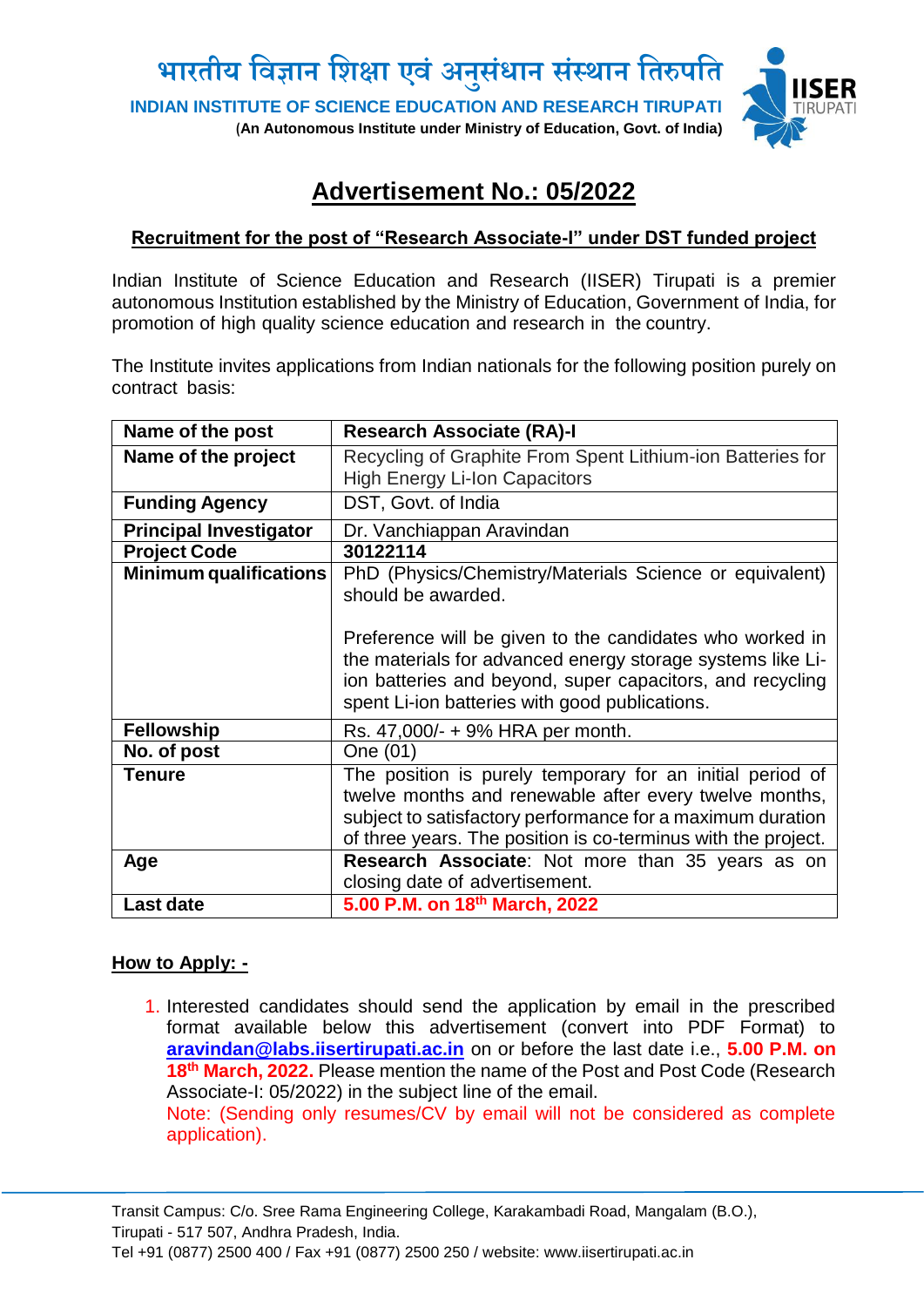

## **Advertisement No.: 05/2022**

## **Recruitment for the post of "Research Associate-I" under DST funded project**

Indian Institute of Science Education and Research (IISER) Tirupati is a premier autonomous Institution established by the Ministry of Education, Government of India, for promotion of high quality science education and research in the country.

The Institute invites applications from Indian nationals for the following position purely on contract basis:

| Name of the post              | <b>Research Associate (RA)-I</b>                                                                                                                                                                                                                   |
|-------------------------------|----------------------------------------------------------------------------------------------------------------------------------------------------------------------------------------------------------------------------------------------------|
| Name of the project           | Recycling of Graphite From Spent Lithium-ion Batteries for                                                                                                                                                                                         |
|                               | <b>High Energy Li-Ion Capacitors</b>                                                                                                                                                                                                               |
| <b>Funding Agency</b>         | DST, Govt. of India                                                                                                                                                                                                                                |
| <b>Principal Investigator</b> | Dr. Vanchiappan Aravindan                                                                                                                                                                                                                          |
| <b>Project Code</b>           | 30122114                                                                                                                                                                                                                                           |
| <b>Minimum qualifications</b> | PhD (Physics/Chemistry/Materials Science or equivalent)<br>should be awarded.                                                                                                                                                                      |
|                               | Preference will be given to the candidates who worked in<br>the materials for advanced energy storage systems like Li-<br>ion batteries and beyond, super capacitors, and recycling<br>spent Li-ion batteries with good publications.              |
| <b>Fellowship</b>             | Rs. 47,000/- + 9% HRA per month.                                                                                                                                                                                                                   |
| No. of post                   | One (01)                                                                                                                                                                                                                                           |
| <b>Tenure</b>                 | The position is purely temporary for an initial period of<br>twelve months and renewable after every twelve months,<br>subject to satisfactory performance for a maximum duration<br>of three years. The position is co-terminus with the project. |
| Age                           | Research Associate: Not more than 35 years as on<br>closing date of advertisement.                                                                                                                                                                 |
| Last date                     | 5.00 P.M. on 18th March, 2022                                                                                                                                                                                                                      |
|                               |                                                                                                                                                                                                                                                    |

## **How to Apply: -**

1. Interested candidates should send the application by email in the prescribed format available below this advertisement (convert into PDF Format) to **[aravindan@labs.iisertirupati.ac.in](mailto:aravindan@labs.iisertirupati.ac.in)** on or before the last date i.e., **5.00 P.M. on 18th March, 2022.** Please mention the name of the Post and Post Code (Research Associate-I: 05/2022) in the subject line of the email. Note: (Sending only resumes/CV by email will not be considered as complete application).

Transit Campus: C/o. Sree Rama Engineering College, Karakambadi Road, Mangalam (B.O.), Tirupati - 517 507, Andhra Pradesh, India.

Tel +91 (0877) 2500 400 / Fax +91 (0877) 2500 250 / website: www.iisertirupati.ac.in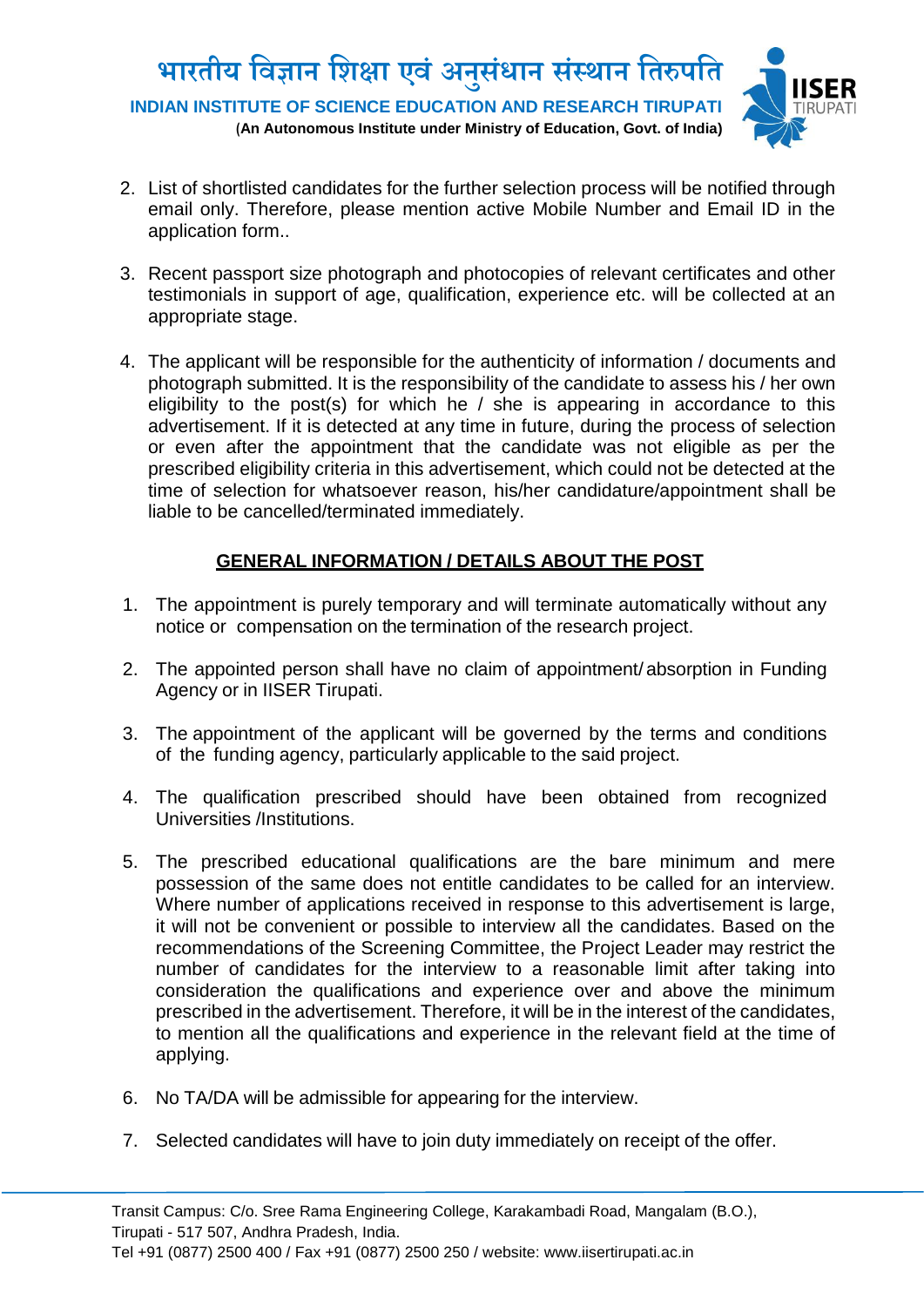

- 2. List of shortlisted candidates for the further selection process will be notified through email only. Therefore, please mention active Mobile Number and Email ID in the application form..
- 3. Recent passport size photograph and photocopies of relevant certificates and other testimonials in support of age, qualification, experience etc. will be collected at an appropriate stage.
- 4. The applicant will be responsible for the authenticity of information / documents and photograph submitted. It is the responsibility of the candidate to assess his / her own eligibility to the post(s) for which he  $/$  she is appearing in accordance to this advertisement. If it is detected at any time in future, during the process of selection or even after the appointment that the candidate was not eligible as per the prescribed eligibility criteria in this advertisement, which could not be detected at the time of selection for whatsoever reason, his/her candidature/appointment shall be liable to be cancelled/terminated immediately.

## **GENERAL INFORMATION / DETAILS ABOUT THE POST**

- 1. The appointment is purely temporary and will terminate automatically without any notice or compensation on the termination of the research project.
- 2. The appointed person shall have no claim of appointment/ absorption in Funding Agency or in IISER Tirupati.
- 3. The appointment of the applicant will be governed by the terms and conditions of the funding agency, particularly applicable to the said project.
- 4. The qualification prescribed should have been obtained from recognized Universities /Institutions.
- 5. The prescribed educational qualifications are the bare minimum and mere possession of the same does not entitle candidates to be called for an interview. Where number of applications received in response to this advertisement is large, it will not be convenient or possible to interview all the candidates. Based on the recommendations of the Screening Committee, the Project Leader may restrict the number of candidates for the interview to a reasonable limit after taking into consideration the qualifications and experience over and above the minimum prescribed in the advertisement. Therefore, it will be in the interest of the candidates, to mention all the qualifications and experience in the relevant field at the time of applying.
- 6. No TA/DA will be admissible for appearing for the interview.
- 7. Selected candidates will have to join duty immediately on receipt of the offer.

Tel +91 (0877) 2500 400 / Fax +91 (0877) 2500 250 / website: www.iisertirupati.ac.in